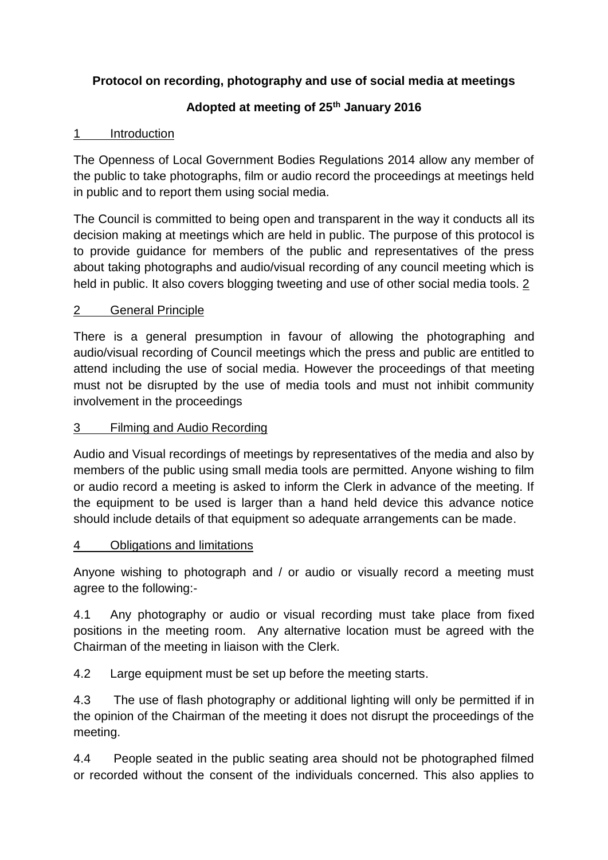# **Protocol on recording, photography and use of social media at meetings**

# **Adopted at meeting of 25th January 2016**

### 1 Introduction

The Openness of Local Government Bodies Regulations 2014 allow any member of the public to take photographs, film or audio record the proceedings at meetings held in public and to report them using social media.

The Council is committed to being open and transparent in the way it conducts all its decision making at meetings which are held in public. The purpose of this protocol is to provide guidance for members of the public and representatives of the press about taking photographs and audio/visual recording of any council meeting which is held in public. It also covers blogging tweeting and use of other social media tools. 2

## 2 General Principle

There is a general presumption in favour of allowing the photographing and audio/visual recording of Council meetings which the press and public are entitled to attend including the use of social media. However the proceedings of that meeting must not be disrupted by the use of media tools and must not inhibit community involvement in the proceedings

#### 3 Filming and Audio Recording

Audio and Visual recordings of meetings by representatives of the media and also by members of the public using small media tools are permitted. Anyone wishing to film or audio record a meeting is asked to inform the Clerk in advance of the meeting. If the equipment to be used is larger than a hand held device this advance notice should include details of that equipment so adequate arrangements can be made.

## 4 Obligations and limitations

Anyone wishing to photograph and / or audio or visually record a meeting must agree to the following:-

4.1 Any photography or audio or visual recording must take place from fixed positions in the meeting room. Any alternative location must be agreed with the Chairman of the meeting in liaison with the Clerk.

4.2 Large equipment must be set up before the meeting starts.

4.3 The use of flash photography or additional lighting will only be permitted if in the opinion of the Chairman of the meeting it does not disrupt the proceedings of the meeting.

4.4 People seated in the public seating area should not be photographed filmed or recorded without the consent of the individuals concerned. This also applies to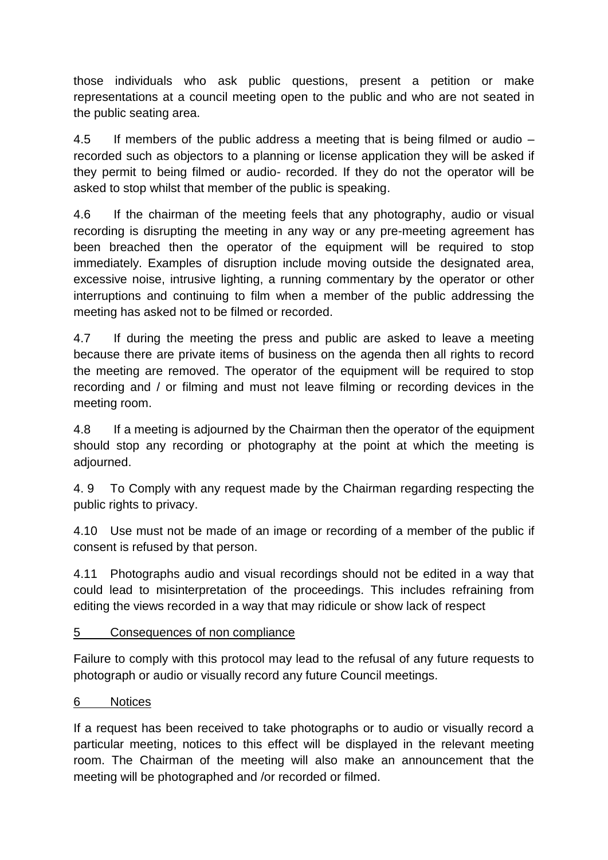those individuals who ask public questions, present a petition or make representations at a council meeting open to the public and who are not seated in the public seating area.

4.5 If members of the public address a meeting that is being filmed or audio – recorded such as objectors to a planning or license application they will be asked if they permit to being filmed or audio- recorded. If they do not the operator will be asked to stop whilst that member of the public is speaking.

4.6 If the chairman of the meeting feels that any photography, audio or visual recording is disrupting the meeting in any way or any pre-meeting agreement has been breached then the operator of the equipment will be required to stop immediately. Examples of disruption include moving outside the designated area, excessive noise, intrusive lighting, a running commentary by the operator or other interruptions and continuing to film when a member of the public addressing the meeting has asked not to be filmed or recorded.

4.7 If during the meeting the press and public are asked to leave a meeting because there are private items of business on the agenda then all rights to record the meeting are removed. The operator of the equipment will be required to stop recording and / or filming and must not leave filming or recording devices in the meeting room.

4.8 If a meeting is adjourned by the Chairman then the operator of the equipment should stop any recording or photography at the point at which the meeting is adjourned.

4. 9 To Comply with any request made by the Chairman regarding respecting the public rights to privacy.

4.10 Use must not be made of an image or recording of a member of the public if consent is refused by that person.

4.11 Photographs audio and visual recordings should not be edited in a way that could lead to misinterpretation of the proceedings. This includes refraining from editing the views recorded in a way that may ridicule or show lack of respect

## 5 Consequences of non compliance

Failure to comply with this protocol may lead to the refusal of any future requests to photograph or audio or visually record any future Council meetings.

## 6 Notices

If a request has been received to take photographs or to audio or visually record a particular meeting, notices to this effect will be displayed in the relevant meeting room. The Chairman of the meeting will also make an announcement that the meeting will be photographed and /or recorded or filmed.